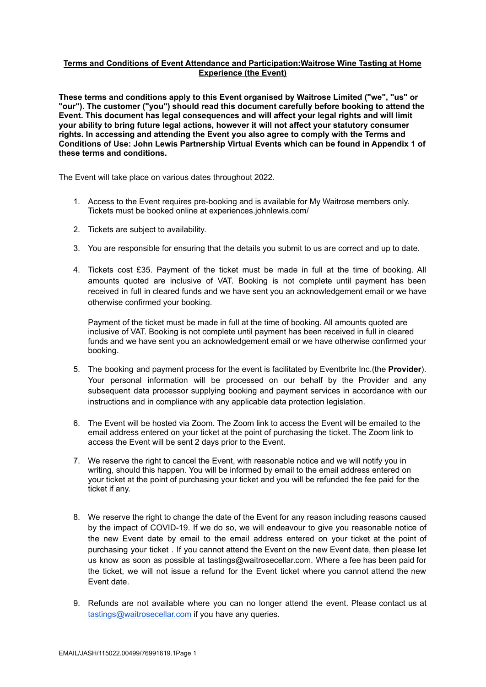### **Terms and Conditions of Event Attendance and Participation:Waitrose Wine Tasting at Home Experience (the Event)**

**These terms and conditions apply to this Event organised by Waitrose Limited ("we", "us" or "our"). The customer ("you") should read this document carefully before booking to attend the Event. This document has legal consequences and will affect your legal rights and will limit your ability to bring future legal actions, however it will not affect your statutory consumer rights. In accessing and attending the Event you also agree to comply with the Terms and Conditions of Use: John Lewis Partnership Virtual Events which can be found in Appendix 1 of these terms and conditions.**

The Event will take place on various dates throughout 2022.

- 1. Access to the Event requires pre-booking and is available for My Waitrose members only. Tickets must be booked online at experiences.johnlewis.com/
- 2. Tickets are subject to availability.
- 3. You are responsible for ensuring that the details you submit to us are correct and up to date.
- 4. Tickets cost £35. Payment of the ticket must be made in full at the time of booking. All amounts quoted are inclusive of VAT. Booking is not complete until payment has been received in full in cleared funds and we have sent you an acknowledgement email or we have otherwise confirmed your booking.

Payment of the ticket must be made in full at the time of booking. All amounts quoted are inclusive of VAT. Booking is not complete until payment has been received in full in cleared funds and we have sent you an acknowledgement email or we have otherwise confirmed your booking.

- 5. The booking and payment process for the event is facilitated by Eventbrite Inc.(the **Provider**). Your personal information will be processed on our behalf by the Provider and any subsequent data processor supplying booking and payment services in accordance with our instructions and in compliance with any applicable data protection legislation.
- 6. The Event will be hosted via Zoom. The Zoom link to access the Event will be emailed to the email address entered on your ticket at the point of purchasing the ticket. The Zoom link to access the Event will be sent 2 days prior to the Event.
- 7. We reserve the right to cancel the Event, with reasonable notice and we will notify you in writing, should this happen. You will be informed by email to the email address entered on your ticket at the point of purchasing your ticket and you will be refunded the fee paid for the ticket if any.
- 8. We reserve the right to change the date of the Event for any reason including reasons caused by the impact of COVID-19. If we do so, we will endeavour to give you reasonable notice of the new Event date by email to the email address entered on your ticket at the point of purchasing your ticket . If you cannot attend the Event on the new Event date, then please let us know as soon as possible at tastings@waitrosecellar.com. Where a fee has been paid for the ticket, we will not issue a refund for the Event ticket where you cannot attend the new Event date.
- 9. Refunds are not available where you can no longer attend the event. Please contact us at [tastings@waitrosecellar.com](mailto:tastings@waitrosecellar.com) if you have any queries.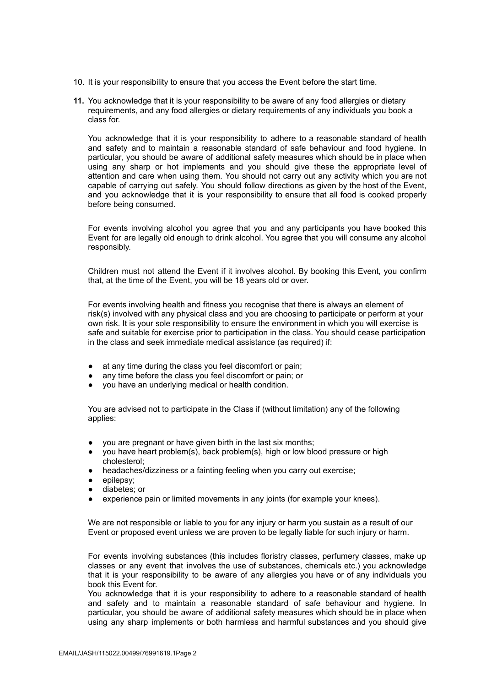- 10. It is your responsibility to ensure that you access the Event before the start time.
- **11.** You acknowledge that it is your responsibility to be aware of any food allergies or dietary requirements, and any food allergies or dietary requirements of any individuals you book a class for.

You acknowledge that it is your responsibility to adhere to a reasonable standard of health and safety and to maintain a reasonable standard of safe behaviour and food hygiene. In particular, you should be aware of additional safety measures which should be in place when using any sharp or hot implements and you should give these the appropriate level of attention and care when using them. You should not carry out any activity which you are not capable of carrying out safely. You should follow directions as given by the host of the Event, and you acknowledge that it is your responsibility to ensure that all food is cooked properly before being consumed.

For events involving alcohol you agree that you and any participants you have booked this Event for are legally old enough to drink alcohol. You agree that you will consume any alcohol responsibly.

Children must not attend the Event if it involves alcohol. By booking this Event, you confirm that, at the time of the Event, you will be 18 years old or over.

For events involving health and fitness you recognise that there is always an element of risk(s) involved with any physical class and you are choosing to participate or perform at your own risk. It is your sole responsibility to ensure the environment in which you will exercise is safe and suitable for exercise prior to participation in the class. You should cease participation in the class and seek immediate medical assistance (as required) if:

- at any time during the class you feel discomfort or pain:
- any time before the class you feel discomfort or pain; or
- you have an underlying medical or health condition.

You are advised not to participate in the Class if (without limitation) any of the following applies:

- you are pregnant or have given birth in the last six months;
- you have heart problem(s), back problem(s), high or low blood pressure or high cholesterol;
- headaches/dizziness or a fainting feeling when you carry out exercise;
- epilepsy;
- diabetes; or
- experience pain or limited movements in any joints (for example your knees).

We are not responsible or liable to you for any injury or harm you sustain as a result of our Event or proposed event unless we are proven to be legally liable for such injury or harm.

For events involving substances (this includes floristry classes, perfumery classes, make up classes or any event that involves the use of substances, chemicals etc.) you acknowledge that it is your responsibility to be aware of any allergies you have or of any individuals you book this Event for.

You acknowledge that it is your responsibility to adhere to a reasonable standard of health and safety and to maintain a reasonable standard of safe behaviour and hygiene. In particular, you should be aware of additional safety measures which should be in place when using any sharp implements or both harmless and harmful substances and you should give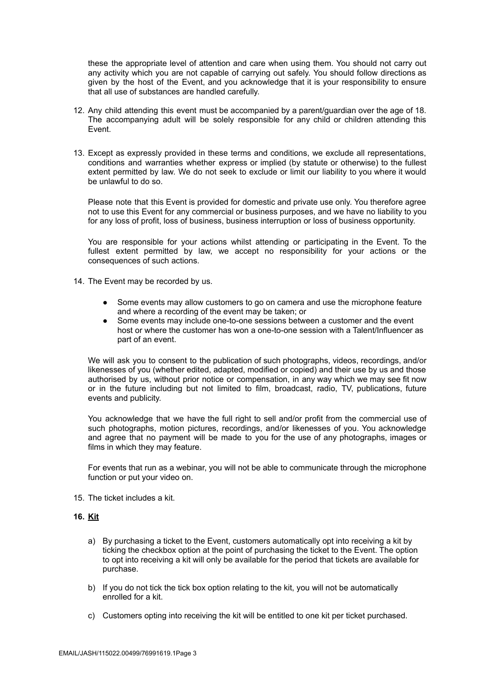these the appropriate level of attention and care when using them. You should not carry out any activity which you are not capable of carrying out safely. You should follow directions as given by the host of the Event, and you acknowledge that it is your responsibility to ensure that all use of substances are handled carefully.

- 12. Any child attending this event must be accompanied by a parent/guardian over the age of 18. The accompanying adult will be solely responsible for any child or children attending this Event.
- 13. Except as expressly provided in these terms and conditions, we exclude all representations, conditions and warranties whether express or implied (by statute or otherwise) to the fullest extent permitted by law. We do not seek to exclude or limit our liability to you where it would be unlawful to do so.

Please note that this Event is provided for domestic and private use only. You therefore agree not to use this Event for any commercial or business purposes, and we have no liability to you for any loss of profit, loss of business, business interruption or loss of business opportunity.

You are responsible for your actions whilst attending or participating in the Event. To the fullest extent permitted by law, we accept no responsibility for your actions or the consequences of such actions.

- 14. The Event may be recorded by us.
	- Some events may allow customers to go on camera and use the microphone feature and where a recording of the event may be taken; or
	- Some events may include one-to-one sessions between a customer and the event host or where the customer has won a one-to-one session with a Talent/Influencer as part of an event.

We will ask you to consent to the publication of such photographs, videos, recordings, and/or likenesses of you (whether edited, adapted, modified or copied) and their use by us and those authorised by us, without prior notice or compensation, in any way which we may see fit now or in the future including but not limited to film, broadcast, radio, TV, publications, future events and publicity.

You acknowledge that we have the full right to sell and/or profit from the commercial use of such photographs, motion pictures, recordings, and/or likenesses of you. You acknowledge and agree that no payment will be made to you for the use of any photographs, images or films in which they may feature.

For events that run as a webinar, you will not be able to communicate through the microphone function or put your video on.

15. The ticket includes a kit.

# **16. Kit**

- a) By purchasing a ticket to the Event, customers automatically opt into receiving a kit by ticking the checkbox option at the point of purchasing the ticket to the Event. The option to opt into receiving a kit will only be available for the period that tickets are available for purchase.
- b) If you do not tick the tick box option relating to the kit, you will not be automatically enrolled for a kit.
- c) Customers opting into receiving the kit will be entitled to one kit per ticket purchased.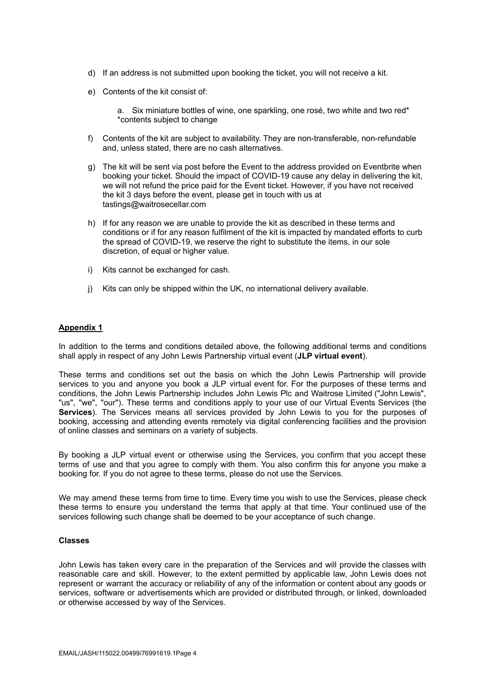- d) If an address is not submitted upon booking the ticket, you will not receive a kit.
- e) Contents of the kit consist of:

a. Six miniature bottles of wine, one sparkling, one rosé, two white and two red\* \*contents subject to change

- f) Contents of the kit are subject to availability. They are non-transferable, non-refundable and, unless stated, there are no cash alternatives.
- g) The kit will be sent via post before the Event to the address provided on Eventbrite when booking your ticket. Should the impact of COVID-19 cause any delay in delivering the kit, we will not refund the price paid for the Event ticket. However, if you have not received the kit 3 days before the event, please get in touch with us at tastings@waitrosecellar.com
- h) If for any reason we are unable to provide the kit as described in these terms and conditions or if for any reason fulfilment of the kit is impacted by mandated efforts to curb the spread of COVID-19, we reserve the right to substitute the items, in our sole discretion, of equal or higher value.
- i) Kits cannot be exchanged for cash.
- j) Kits can only be shipped within the UK, no international delivery available.

## **Appendix 1**

In addition to the terms and conditions detailed above, the following additional terms and conditions shall apply in respect of any John Lewis Partnership virtual event (**JLP virtual event**).

These terms and conditions set out the basis on which the John Lewis Partnership will provide services to you and anyone you book a JLP virtual event for. For the purposes of these terms and conditions, the John Lewis Partnership includes John Lewis Plc and Waitrose Limited ("John Lewis", "us", "we", "our"). These terms and conditions apply to your use of our Virtual Events Services (the **Services**). The Services means all services provided by John Lewis to you for the purposes of booking, accessing and attending events remotely via digital conferencing facilities and the provision of online classes and seminars on a variety of subjects.

By booking a JLP virtual event or otherwise using the Services, you confirm that you accept these terms of use and that you agree to comply with them. You also confirm this for anyone you make a booking for. If you do not agree to these terms, please do not use the Services.

We may amend these terms from time to time. Every time you wish to use the Services, please check these terms to ensure you understand the terms that apply at that time. Your continued use of the services following such change shall be deemed to be your acceptance of such change.

#### **Classes**

John Lewis has taken every care in the preparation of the Services and will provide the classes with reasonable care and skill. However, to the extent permitted by applicable law, John Lewis does not represent or warrant the accuracy or reliability of any of the information or content about any goods or services, software or advertisements which are provided or distributed through, or linked, downloaded or otherwise accessed by way of the Services.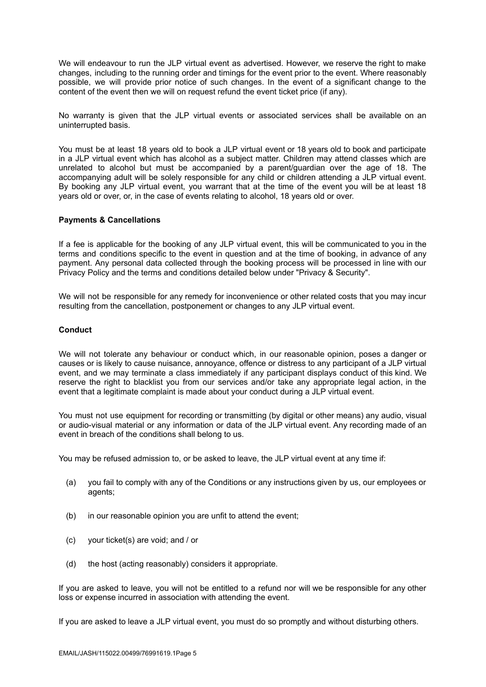We will endeavour to run the JLP virtual event as advertised. However, we reserve the right to make changes, including to the running order and timings for the event prior to the event. Where reasonably possible, we will provide prior notice of such changes. In the event of a significant change to the content of the event then we will on request refund the event ticket price (if any).

No warranty is given that the JLP virtual events or associated services shall be available on an uninterrupted basis.

You must be at least 18 years old to book a JLP virtual event or 18 years old to book and participate in a JLP virtual event which has alcohol as a subject matter. Children may attend classes which are unrelated to alcohol but must be accompanied by a parent/guardian over the age of 18. The accompanying adult will be solely responsible for any child or children attending a JLP virtual event. By booking any JLP virtual event, you warrant that at the time of the event you will be at least 18 years old or over, or, in the case of events relating to alcohol, 18 years old or over.

#### **Payments & Cancellations**

If a fee is applicable for the booking of any JLP virtual event, this will be communicated to you in the terms and conditions specific to the event in question and at the time of booking, in advance of any payment. Any personal data collected through the booking process will be processed in line with our Privacy Policy and the terms and conditions detailed below under "Privacy & Security".

We will not be responsible for any remedy for inconvenience or other related costs that you may incur resulting from the cancellation, postponement or changes to any JLP virtual event.

### **Conduct**

We will not tolerate any behaviour or conduct which, in our reasonable opinion, poses a danger or causes or is likely to cause nuisance, annoyance, offence or distress to any participant of a JLP virtual event, and we may terminate a class immediately if any participant displays conduct of this kind. We reserve the right to blacklist you from our services and/or take any appropriate legal action, in the event that a legitimate complaint is made about your conduct during a JLP virtual event.

You must not use equipment for recording or transmitting (by digital or other means) any audio, visual or audio-visual material or any information or data of the JLP virtual event. Any recording made of an event in breach of the conditions shall belong to us.

You may be refused admission to, or be asked to leave, the JLP virtual event at any time if:

- (a) you fail to comply with any of the Conditions or any instructions given by us, our employees or agents;
- (b) in our reasonable opinion you are unfit to attend the event;
- (c) your ticket(s) are void; and / or
- (d) the host (acting reasonably) considers it appropriate.

If you are asked to leave, you will not be entitled to a refund nor will we be responsible for any other loss or expense incurred in association with attending the event.

If you are asked to leave a JLP virtual event, you must do so promptly and without disturbing others.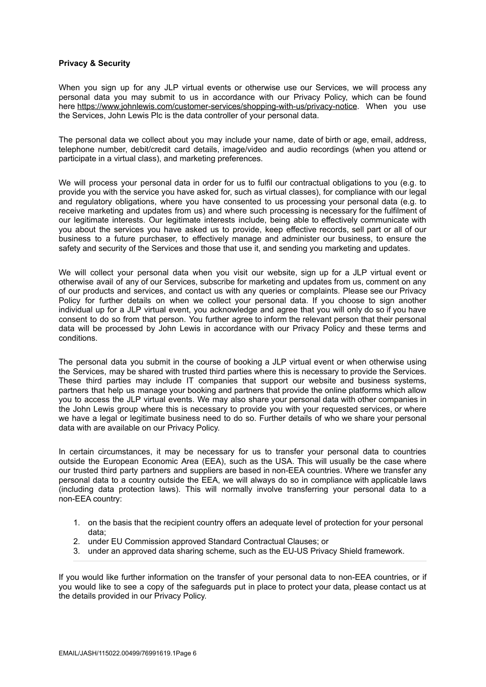### **Privacy & Security**

When you sign up for any JLP virtual events or otherwise use our Services, we will process any personal data you may submit to us in accordance with our Privacy Policy, which can be found here <https://www.johnlewis.com/customer-services/shopping-with-us/privacy-notice>. When you use the Services, John Lewis Plc is the data controller of your personal data.

The personal data we collect about you may include your name, date of birth or age, email, address, telephone number, debit/credit card details, image/video and audio recordings (when you attend or participate in a virtual class), and marketing preferences.

We will process your personal data in order for us to fulfil our contractual obligations to you (e.g. to provide you with the service you have asked for, such as virtual classes), for compliance with our legal and regulatory obligations, where you have consented to us processing your personal data (e.g. to receive marketing and updates from us) and where such processing is necessary for the fulfilment of our legitimate interests. Our legitimate interests include, being able to effectively communicate with you about the services you have asked us to provide, keep effective records, sell part or all of our business to a future purchaser, to effectively manage and administer our business, to ensure the safety and security of the Services and those that use it, and sending you marketing and updates.

We will collect your personal data when you visit our website, sign up for a JLP virtual event or otherwise avail of any of our Services, subscribe for marketing and updates from us, comment on any of our products and services, and contact us with any queries or complaints. Please see our Privacy Policy for further details on when we collect your personal data. If you choose to sign another individual up for a JLP virtual event, you acknowledge and agree that you will only do so if you have consent to do so from that person. You further agree to inform the relevant person that their personal data will be processed by John Lewis in accordance with our Privacy Policy and these terms and conditions.

The personal data you submit in the course of booking a JLP virtual event or when otherwise using the Services, may be shared with trusted third parties where this is necessary to provide the Services. These third parties may include IT companies that support our website and business systems, partners that help us manage your booking and partners that provide the online platforms which allow you to access the JLP virtual events. We may also share your personal data with other companies in the John Lewis group where this is necessary to provide you with your requested services, or where we have a legal or legitimate business need to do so. Further details of who we share your personal data with are available on our Privacy Policy.

In certain circumstances, it may be necessary for us to transfer your personal data to countries outside the European Economic Area (EEA), such as the USA. This will usually be the case where our trusted third party partners and suppliers are based in non-EEA countries. Where we transfer any personal data to a country outside the EEA, we will always do so in compliance with applicable laws (including data protection laws). This will normally involve transferring your personal data to a non-EEA country:

- 1. on the basis that the recipient country offers an adequate level of protection for your personal data;
- 2. under EU Commission approved Standard Contractual Clauses; or
- 3. under an approved data sharing scheme, such as the EU-US Privacy Shield framework.

If you would like further information on the transfer of your personal data to non-EEA countries, or if you would like to see a copy of the safeguards put in place to protect your data, please contact us at the details provided in our Privacy Policy.